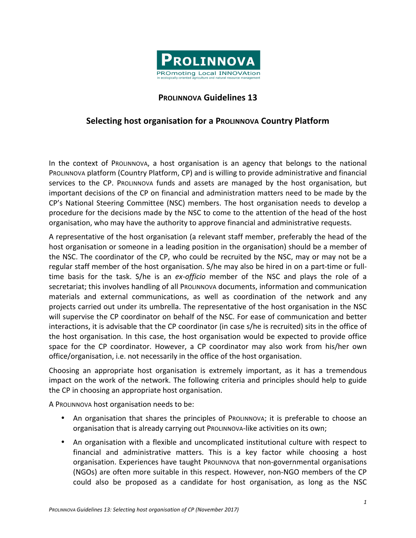

## **PROLINNOVA Guidelines 13**

## **Selecting host organisation for a PROLINNOVA Country Platform**

In the context of ProLINNOVA, a host organisation is an agency that belongs to the national PROLINNOVA platform (Country Platform, CP) and is willing to provide administrative and financial services to the CP. ProLINNOVA funds and assets are managed by the host organisation, but important decisions of the CP on financial and administration matters need to be made by the CP's National Steering Committee (NSC) members. The host organisation needs to develop a procedure for the decisions made by the NSC to come to the attention of the head of the host organisation, who may have the authority to approve financial and administrative requests.

A representative of the host organisation (a relevant staff member, preferably the head of the host organisation or someone in a leading position in the organisation) should be a member of the NSC. The coordinator of the CP, who could be recruited by the NSC, may or may not be a regular staff member of the host organisation. S/he may also be hired in on a part-time or fulltime basis for the task. S/he is an *ex-officio* member of the NSC and plays the role of a secretariat; this involves handling of all ProLINNOVA documents, information and communication materials and external communications, as well as coordination of the network and any projects carried out under its umbrella. The representative of the host organisation in the NSC will supervise the CP coordinator on behalf of the NSC. For ease of communication and better interactions, it is advisable that the CP coordinator (in case s/he is recruited) sits in the office of the host organisation. In this case, the host organisation would be expected to provide office space for the CP coordinator. However, a CP coordinator may also work from his/her own office/organisation, i.e. not necessarily in the office of the host organisation.

Choosing an appropriate host organisation is extremely important, as it has a tremendous impact on the work of the network. The following criteria and principles should help to guide the CP in choosing an appropriate host organisation.

A PROLINNOVA host organisation needs to be:

- An organisation that shares the principles of ProLINNOVA; it is preferable to choose an organisation that is already carrying out ProLINNOVA-like activities on its own;
- An organisation with a flexible and uncomplicated institutional culture with respect to financial and administrative matters. This is a key factor while choosing a host organisation. Experiences have taught Prollnnova that non-governmental organisations (NGOs) are often more suitable in this respect. However, non-NGO members of the CP could also be proposed as a candidate for host organisation, as long as the NSC